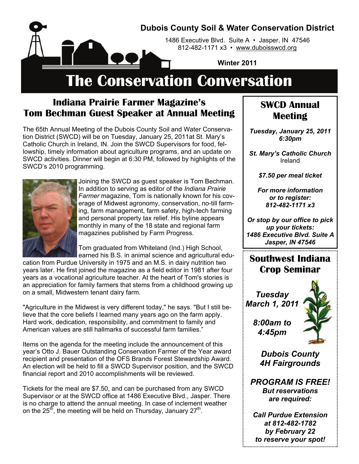

## **Indiana Prairie Farmer Magazine's Tom Bechman Guest Speaker at Annual Meeting**

The 65th Annual Meeting of the Dubois County Soil and Water Conservation District (SWCD) will be on Tuesday, January 25, 2011at St. Mary's Catholic Church in Ireland, IN. Join the SWCD Supervisors for food, fellowship, timely information about agriculture programs, and an update on SWCD activities. Dinner will begin at 6:30 PM, followed by highlights of the SWCD's 2010 programming.



Joining the SWCD as guest speaker is Tom Bechman. In addition to serving as editor of the *Indiana Prairie Farmer* magazine, Tom is nationally known for his coverage of Midwest agronomy, conservation, no-till farming, farm management, farm safety, high-tech farming and personal property tax relief. His byline appears monthly in many of the 18 state and regional farm magazines published by Farm Progress.

Tom graduated from Whiteland (Ind.) High School, earned his B.S. in animal science and agricultural edu-

cation from Purdue University in 1975 and an M.S. in dairy nutrition two years later. He first joined the magazine as a field editor in 1981 after four years as a vocational agriculture teacher. At the heart of Tom's stories is an appreciation for family farmers that stems from a childhood growing up on a small, Midwestern tenant dairy farm.

"Agriculture in the Midwest is very different today," he says. "But I still believe that the core beliefs I learned many years ago on the farm apply. Hard work, dedication, responsibility, and commitment to family and American values are still hallmarks of successful farm families."

Items on the agenda for the meeting include the announcement of this year's Otto J. Bauer Outstanding Conservation Farmer of the Year award recipient and presentation of the OFS Brands Forest Stewardship Award. An election will be held to fill a SWCD Supervisor position, and the SWCD financial report and 2010 accomplishments will be reviewed.

Tickets for the meal are \$7.50, and can be purchased from any SWCD Supervisor or at the SWCD office at 1486 Executive Blvd., Jasper. There is no charge to attend the annual meeting. In case of inclement weather on the  $25<sup>th</sup>$ , the meeting will be held on Thursday, January  $27<sup>th</sup>$ .

### **SWCD Annual Meeting**

*Tuesday, January 25, 2011 6:30pm* 

*St. Mary's Catholic Church*  Ireland

*\$7.50 per meal ticket* 

*For more information or to register: 812-482-1171 x3* 

*Or stop by our office to pick up your tickets: 1486 Executive Blvd. Suite A Jasper, IN 47546*

# **Southwest Indiana Crop Seminar**

*Tuesday March 1, 2011* 



*8:00am to 4:45pm* 

> *Dubois County 4H Fairgrounds*

*PROGRAM IS FREE! But reservations are required:* 

*Call Purdue Extension at 812-482-1782 by February 22 to reserve your spot!*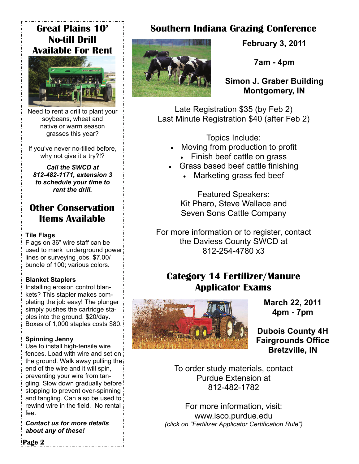# **Great Plains 10' No-till Drill Available For Rent**



Need to rent a drill to plant your soybeans, wheat and native or warm season grasses this year?

If you've never no-tilled before, why not give it a try?!?

*Call the SWCD at 812-482-1171, extension 3 to schedule your time to rent the drill.* 

# **Other Conservation Items Available**

#### **Tile Flags**

Flags on 36" wire staff can be used to mark underground power: lines or surveying jobs. \$7.00/ bundle of 100; various colors.

#### **Blanket Staplers**

Installing erosion control blankets? This stapler makes completing the job easy! The plunger simply pushes the cartridge staples into the ground. \$20/day. Boxes of 1,000 staples costs \$80.

#### **Spinning Jenny**

Use to install high-tensile wire fences. Load with wire and set on the ground. Walk away pulling the end of the wire and it will spin, preventing your wire from tangling. Slow down gradually before stopping to prevent over-spinning and tangling. Can also be used to rewind wire in the field. No rental fee.

*Contact us for more details about any of these!* 

# **Southern Indiana Grazing Conference**



**February 3, 2011** 

**7am - 4pm** 

**Simon J. Graber Building Montgomery, IN** 

Late Registration \$35 (by Feb 2) Last Minute Registration \$40 (after Feb 2)

Topics Include:

- Moving from production to profit
	- Finish beef cattle on grass
- Grass based beef cattle finishing
	- Marketing grass fed beef

Featured Speakers: Kit Pharo, Steve Wallace and Seven Sons Cattle Company

For more information or to register, contact the Daviess County SWCD at 812-254-4780 x3

# **Category 14 Fertilizer/Manure Applicator Exams**



**March 22, 2011 4pm - 7pm** 

**Dubois County 4H Fairgrounds Office Bretzville, IN** 

To order study materials, contact Purdue Extension at 812-482-1782

For more information, visit: www.isco.purdue.edu *(click on "Fertilizer Applicator Certification Rule")* 

**Page 2**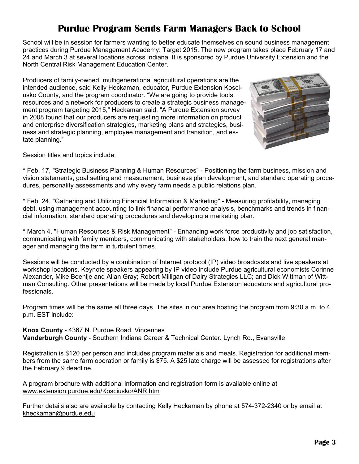# **Purdue Program Sends Farm Managers Back to School**

School will be in session for farmers wanting to better educate themselves on sound business management practices during Purdue Management Academy: Target 2015. The new program takes place February 17 and 24 and March 3 at several locations across Indiana. It is sponsored by Purdue University Extension and the North Central Risk Management Education Center.

Producers of family-owned, multigenerational agricultural operations are the intended audience, said Kelly Heckaman, educator, Purdue Extension Kosciusko County, and the program coordinator. "We are going to provide tools, resources and a network for producers to create a strategic business management program targeting 2015," Heckaman said. "A Purdue Extension survey in 2008 found that our producers are requesting more information on product and enterprise diversification strategies, marketing plans and strategies, business and strategic planning, employee management and transition, and estate planning."



Session titles and topics include:

\* Feb. 17, "Strategic Business Planning & Human Resources" - Positioning the farm business, mission and vision statements, goal setting and measurement, business plan development, and standard operating procedures, personality assessments and why every farm needs a public relations plan.

\* Feb. 24, "Gathering and Utilizing Financial Information & Marketing" - Measuring profitability, managing debt, using management accounting to link financial performance analysis, benchmarks and trends in financial information, standard operating procedures and developing a marketing plan.

\* March 4, "Human Resources & Risk Management" - Enhancing work force productivity and job satisfaction, communicating with family members, communicating with stakeholders, how to train the next general manager and managing the farm in turbulent times.

Sessions will be conducted by a combination of Internet protocol (IP) video broadcasts and live speakers at workshop locations. Keynote speakers appearing by IP video include Purdue agricultural economists Corinne Alexander, Mike Boehlje and Allan Gray; Robert Milligan of Dairy Strategies LLC; and Dick Wittman of Wittman Consulting. Other presentations will be made by local Purdue Extension educators and agricultural professionals.

Program times will be the same all three days. The sites in our area hosting the program from 9:30 a.m. to 4 p.m. EST include:

**Knox County** - 4367 N. Purdue Road, Vincennes

**Vanderburgh County** - Southern Indiana Career & Technical Center. Lynch Ro., Evansville

Registration is \$120 per person and includes program materials and meals. Registration for additional members from the same farm operation or family is \$75. A \$25 late charge will be assessed for registrations after the February 9 deadline.

A program brochure with additional information and registration form is available online at www.extension.purdue.edu/Kosciusko/ANR.htm

Further details also are available by contacting Kelly Heckaman by phone at 574-372-2340 or by email at kheckaman@purdue.edu